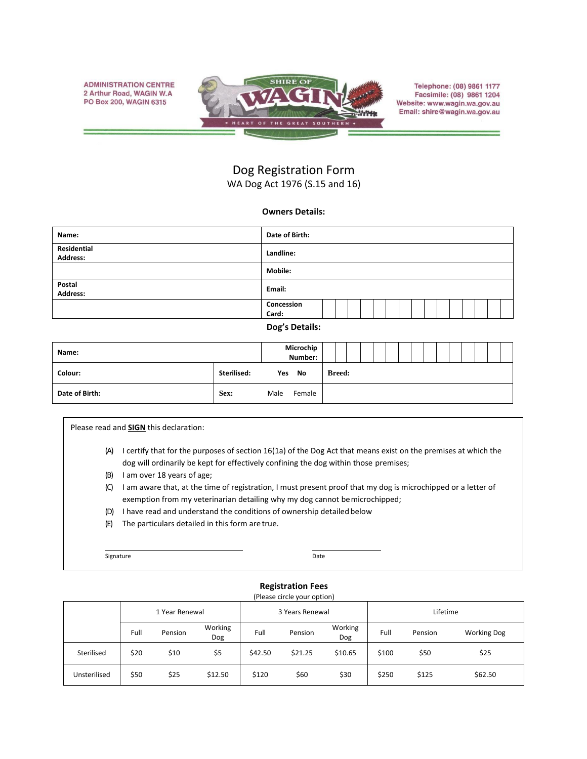**ADMINISTRATION CENTRE** 2 Arthur Road, WAGIN W.A PO Box 200, WAGIN 6315



Telephone: (08) 9861 1177 Facsimile: (08) 9861 1204 Website: www.wagin.wa.gov.au Email: shire@wagin.wa.gov.au

## Dog Registration Form WA Dog Act 1976 (S.15 and 16)

## **Owners Details:**

| Name:                   | Date of Birth:      |  |  |  |  |  |  |  |  |  |  |  |  |
|-------------------------|---------------------|--|--|--|--|--|--|--|--|--|--|--|--|
| Residential<br>Address: | Landline:           |  |  |  |  |  |  |  |  |  |  |  |  |
|                         | <b>Mobile:</b>      |  |  |  |  |  |  |  |  |  |  |  |  |
| Postal<br>Address:      | Email:              |  |  |  |  |  |  |  |  |  |  |  |  |
|                         | Concession<br>Card: |  |  |  |  |  |  |  |  |  |  |  |  |
|                         | $D = -1$ $D = 1$    |  |  |  |  |  |  |  |  |  |  |  |  |

**Dog's Details:**

| Name:          |             | Microchip<br>Number: |        |               |  |  |  |  |  |  |  |
|----------------|-------------|----------------------|--------|---------------|--|--|--|--|--|--|--|
| Colour:        | Sterilised: |                      | Yes No | <b>Breed:</b> |  |  |  |  |  |  |  |
| Date of Birth: | Sex:        | Male                 | Female |               |  |  |  |  |  |  |  |

Please read and **SIGN** this declaration:

- (A) I certify that for the purposes of section 16(1a) of the Dog Act that means exist on the premises at which the dog will ordinarily be kept for effectively confining the dog within those premises;
- (B) I am over 18 years of age;
- (C) I am aware that, at the time of registration, I must present proof that my dog is microchipped or a letter of exemption from my veterinarian detailing why my dog cannot bemicrochipped;
- (D) I have read and understand the conditions of ownership detailed below
- (E) The particulars detailed in this form are true.

Signature Date

## **Registration Fees**

| (Please circle your option) |      |                |                |         |                 |                |          |                               |         |  |  |  |  |
|-----------------------------|------|----------------|----------------|---------|-----------------|----------------|----------|-------------------------------|---------|--|--|--|--|
|                             |      | 1 Year Renewal |                |         | 3 Years Renewal |                | Lifetime |                               |         |  |  |  |  |
|                             | Full | Pension        | Working<br>Dog | Full    | Pension         | Working<br>Dog | Full     | <b>Working Dog</b><br>Pension |         |  |  |  |  |
| Sterilised                  | \$20 | \$10           | \$5            | \$42.50 | \$21.25         | \$10.65        | \$100    | \$50                          | \$25    |  |  |  |  |
| Unsterilised                | \$50 | \$25           | \$12.50        | \$120   | \$60            | \$30           | \$250    | \$125                         | \$62.50 |  |  |  |  |